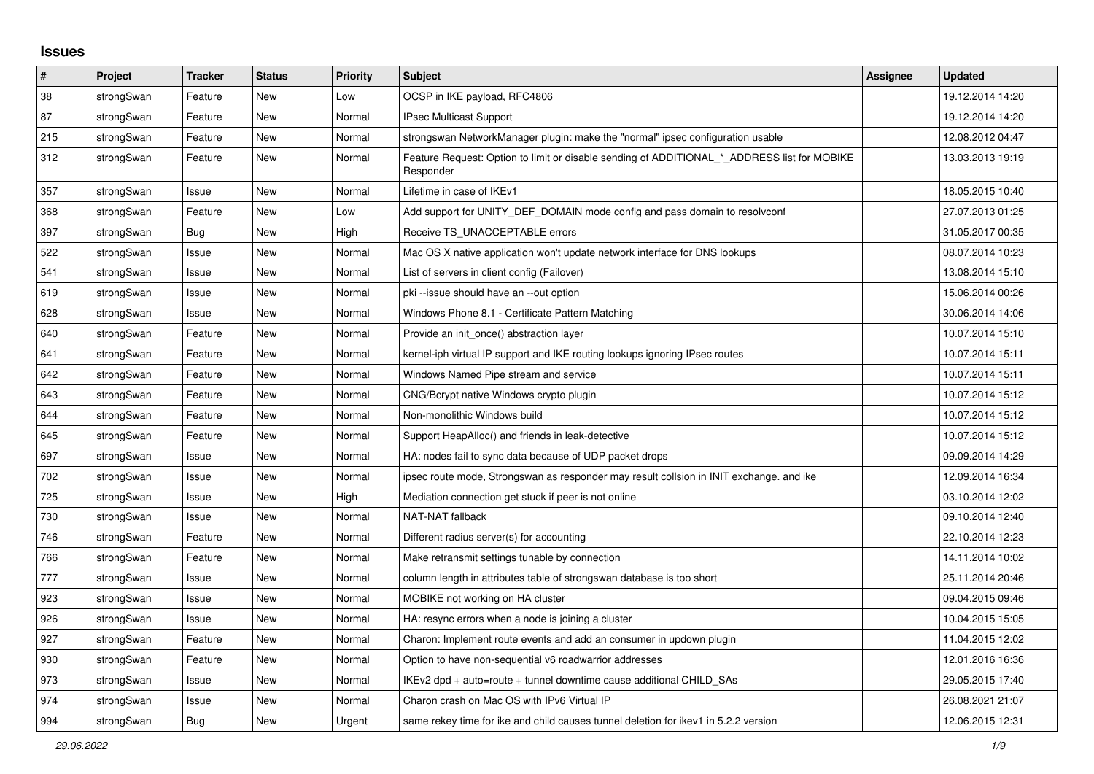## **Issues**

| ∦   | Project    | <b>Tracker</b> | <b>Status</b> | <b>Priority</b> | <b>Subject</b>                                                                                           | Assignee | <b>Updated</b>   |
|-----|------------|----------------|---------------|-----------------|----------------------------------------------------------------------------------------------------------|----------|------------------|
| 38  | strongSwan | Feature        | <b>New</b>    | Low             | OCSP in IKE payload, RFC4806                                                                             |          | 19.12.2014 14:20 |
| 87  | strongSwan | Feature        | <b>New</b>    | Normal          | <b>IPsec Multicast Support</b>                                                                           |          | 19.12.2014 14:20 |
| 215 | strongSwan | Feature        | New           | Normal          | strongswan NetworkManager plugin: make the "normal" ipsec configuration usable                           |          | 12.08.2012 04:47 |
| 312 | strongSwan | Feature        | New           | Normal          | Feature Request: Option to limit or disable sending of ADDITIONAL * ADDRESS list for MOBIKE<br>Responder |          | 13.03.2013 19:19 |
| 357 | strongSwan | Issue          | <b>New</b>    | Normal          | Lifetime in case of IKEv1                                                                                |          | 18.05.2015 10:40 |
| 368 | strongSwan | Feature        | <b>New</b>    | Low             | Add support for UNITY DEF DOMAIN mode config and pass domain to resolvconf                               |          | 27.07.2013 01:25 |
| 397 | strongSwan | Bug            | <b>New</b>    | High            | Receive TS UNACCEPTABLE errors                                                                           |          | 31.05.2017 00:35 |
| 522 | strongSwan | Issue          | <b>New</b>    | Normal          | Mac OS X native application won't update network interface for DNS lookups                               |          | 08.07.2014 10:23 |
| 541 | strongSwan | Issue          | New           | Normal          | List of servers in client config (Failover)                                                              |          | 13.08.2014 15:10 |
| 619 | strongSwan | Issue          | <b>New</b>    | Normal          | pki --issue should have an --out option                                                                  |          | 15.06.2014 00:26 |
| 628 | strongSwan | Issue          | <b>New</b>    | Normal          | Windows Phone 8.1 - Certificate Pattern Matching                                                         |          | 30.06.2014 14:06 |
| 640 | strongSwan | Feature        | New           | Normal          | Provide an init once() abstraction layer                                                                 |          | 10.07.2014 15:10 |
| 641 | strongSwan | Feature        | <b>New</b>    | Normal          | kernel-iph virtual IP support and IKE routing lookups ignoring IPsec routes                              |          | 10.07.2014 15:11 |
| 642 | strongSwan | Feature        | New           | Normal          | Windows Named Pipe stream and service                                                                    |          | 10.07.2014 15:11 |
| 643 | strongSwan | Feature        | New           | Normal          | CNG/Bcrypt native Windows crypto plugin                                                                  |          | 10.07.2014 15:12 |
| 644 | strongSwan | Feature        | <b>New</b>    | Normal          | Non-monolithic Windows build                                                                             |          | 10.07.2014 15:12 |
| 645 | strongSwan | Feature        | New           | Normal          | Support HeapAlloc() and friends in leak-detective                                                        |          | 10.07.2014 15:12 |
| 697 | strongSwan | Issue          | New           | Normal          | HA: nodes fail to sync data because of UDP packet drops                                                  |          | 09.09.2014 14:29 |
| 702 | strongSwan | Issue          | New           | Normal          | ipsec route mode, Strongswan as responder may result collsion in INIT exchange. and ike                  |          | 12.09.2014 16:34 |
| 725 | strongSwan | Issue          | New           | High            | Mediation connection get stuck if peer is not online                                                     |          | 03.10.2014 12:02 |
| 730 | strongSwan | Issue          | <b>New</b>    | Normal          | NAT-NAT fallback                                                                                         |          | 09.10.2014 12:40 |
| 746 | strongSwan | Feature        | New           | Normal          | Different radius server(s) for accounting                                                                |          | 22.10.2014 12:23 |
| 766 | strongSwan | Feature        | New           | Normal          | Make retransmit settings tunable by connection                                                           |          | 14.11.2014 10:02 |
| 777 | strongSwan | Issue          | <b>New</b>    | Normal          | column length in attributes table of strongswan database is too short                                    |          | 25.11.2014 20:46 |
| 923 | strongSwan | Issue          | <b>New</b>    | Normal          | MOBIKE not working on HA cluster                                                                         |          | 09.04.2015 09:46 |
| 926 | strongSwan | lssue          | <b>New</b>    | Normal          | HA: resync errors when a node is joining a cluster                                                       |          | 10.04.2015 15:05 |
| 927 | strongSwan | Feature        | <b>New</b>    | Normal          | Charon: Implement route events and add an consumer in updown plugin                                      |          | 11.04.2015 12:02 |
| 930 | strongSwan | Feature        | <b>New</b>    | Normal          | Option to have non-sequential v6 roadwarrior addresses                                                   |          | 12.01.2016 16:36 |
| 973 | strongSwan | Issue          | <b>New</b>    | Normal          | IKEv2 dpd + auto=route + tunnel downtime cause additional CHILD_SAs                                      |          | 29.05.2015 17:40 |
| 974 | strongSwan | Issue          | <b>New</b>    | Normal          | Charon crash on Mac OS with IPv6 Virtual IP                                                              |          | 26.08.2021 21:07 |
| 994 | strongSwan | <b>Bug</b>     | <b>New</b>    | Urgent          | same rekey time for ike and child causes tunnel deletion for ikey1 in 5.2.2 version                      |          | 12.06.2015 12:31 |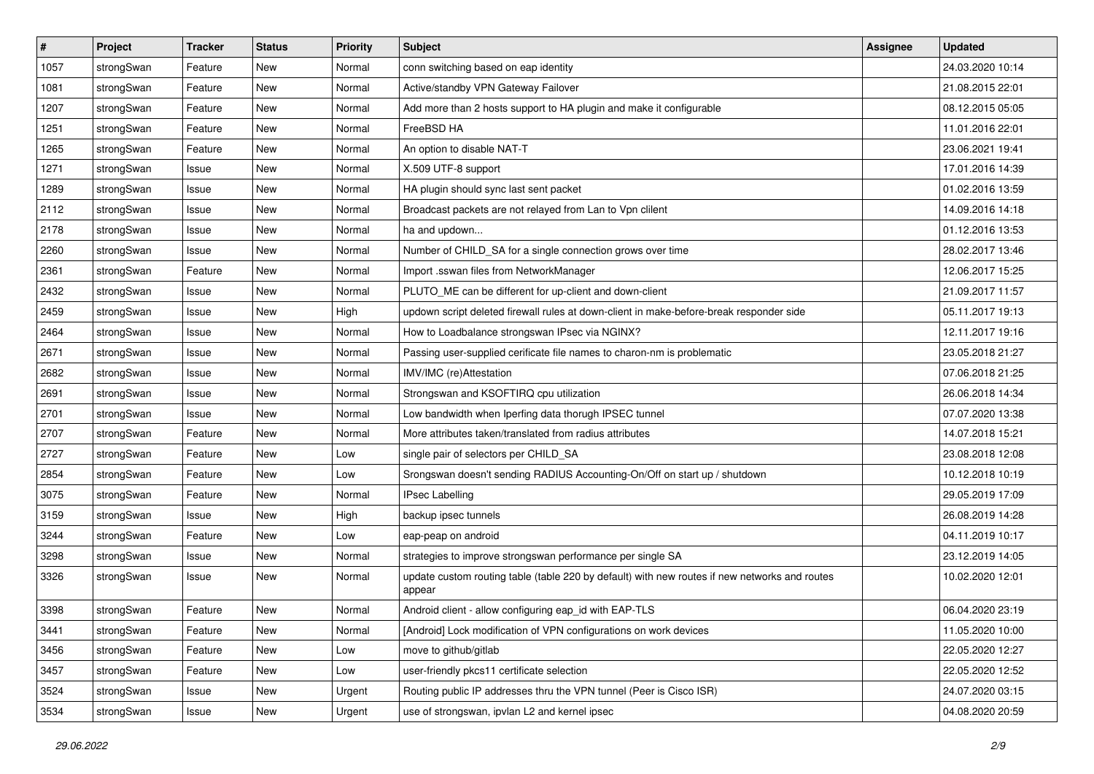| $\sharp$ | Project    | <b>Tracker</b> | <b>Status</b> | <b>Priority</b> | <b>Subject</b>                                                                                          | <b>Assignee</b> | <b>Updated</b>   |
|----------|------------|----------------|---------------|-----------------|---------------------------------------------------------------------------------------------------------|-----------------|------------------|
| 1057     | strongSwan | Feature        | New           | Normal          | conn switching based on eap identity                                                                    |                 | 24.03.2020 10:14 |
| 1081     | strongSwan | Feature        | <b>New</b>    | Normal          | Active/standby VPN Gateway Failover                                                                     |                 | 21.08.2015 22:01 |
| 1207     | strongSwan | Feature        | New           | Normal          | Add more than 2 hosts support to HA plugin and make it configurable                                     |                 | 08.12.2015 05:05 |
| 1251     | strongSwan | Feature        | New           | Normal          | FreeBSD HA                                                                                              |                 | 11.01.2016 22:01 |
| 1265     | strongSwan | Feature        | <b>New</b>    | Normal          | An option to disable NAT-T                                                                              |                 | 23.06.2021 19:41 |
| 1271     | strongSwan | Issue          | New           | Normal          | X.509 UTF-8 support                                                                                     |                 | 17.01.2016 14:39 |
| 1289     | strongSwan | Issue          | <b>New</b>    | Normal          | HA plugin should sync last sent packet                                                                  |                 | 01.02.2016 13:59 |
| 2112     | strongSwan | Issue          | New           | Normal          | Broadcast packets are not relayed from Lan to Vpn clilent                                               |                 | 14.09.2016 14:18 |
| 2178     | strongSwan | Issue          | New           | Normal          | ha and updown                                                                                           |                 | 01.12.2016 13:53 |
| 2260     | strongSwan | Issue          | <b>New</b>    | Normal          | Number of CHILD_SA for a single connection grows over time                                              |                 | 28.02.2017 13:46 |
| 2361     | strongSwan | Feature        | New           | Normal          | Import .sswan files from NetworkManager                                                                 |                 | 12.06.2017 15:25 |
| 2432     | strongSwan | Issue          | <b>New</b>    | Normal          | PLUTO_ME can be different for up-client and down-client                                                 |                 | 21.09.2017 11:57 |
| 2459     | strongSwan | Issue          | New           | High            | updown script deleted firewall rules at down-client in make-before-break responder side                 |                 | 05.11.2017 19:13 |
| 2464     | strongSwan | Issue          | <b>New</b>    | Normal          | How to Loadbalance strongswan IPsec via NGINX?                                                          |                 | 12.11.2017 19:16 |
| 2671     | strongSwan | Issue          | <b>New</b>    | Normal          | Passing user-supplied cerificate file names to charon-nm is problematic                                 |                 | 23.05.2018 21:27 |
| 2682     | strongSwan | Issue          | <b>New</b>    | Normal          | IMV/IMC (re)Attestation                                                                                 |                 | 07.06.2018 21:25 |
| 2691     | strongSwan | Issue          | New           | Normal          | Strongswan and KSOFTIRQ cpu utilization                                                                 |                 | 26.06.2018 14:34 |
| 2701     | strongSwan | Issue          | <b>New</b>    | Normal          | Low bandwidth when Iperfing data thorugh IPSEC tunnel                                                   |                 | 07.07.2020 13:38 |
| 2707     | strongSwan | Feature        | New           | Normal          | More attributes taken/translated from radius attributes                                                 |                 | 14.07.2018 15:21 |
| 2727     | strongSwan | Feature        | New           | Low             | single pair of selectors per CHILD_SA                                                                   |                 | 23.08.2018 12:08 |
| 2854     | strongSwan | Feature        | New           | Low             | Srongswan doesn't sending RADIUS Accounting-On/Off on start up / shutdown                               |                 | 10.12.2018 10:19 |
| 3075     | strongSwan | Feature        | New           | Normal          | <b>IPsec Labelling</b>                                                                                  |                 | 29.05.2019 17:09 |
| 3159     | strongSwan | Issue          | <b>New</b>    | High            | backup ipsec tunnels                                                                                    |                 | 26.08.2019 14:28 |
| 3244     | strongSwan | Feature        | New           | Low             | eap-peap on android                                                                                     |                 | 04.11.2019 10:17 |
| 3298     | strongSwan | Issue          | <b>New</b>    | Normal          | strategies to improve strongswan performance per single SA                                              |                 | 23.12.2019 14:05 |
| 3326     | strongSwan | Issue          | New           | Normal          | update custom routing table (table 220 by default) with new routes if new networks and routes<br>appear |                 | 10.02.2020 12:01 |
| 3398     | strongSwan | Feature        | New           | Normal          | Android client - allow configuring eap_id with EAP-TLS                                                  |                 | 06.04.2020 23:19 |
| 3441     | strongSwan | Feature        | New           | Normal          | [Android] Lock modification of VPN configurations on work devices                                       |                 | 11.05.2020 10:00 |
| 3456     | strongSwan | Feature        | New           | Low             | move to github/gitlab                                                                                   |                 | 22.05.2020 12:27 |
| 3457     | strongSwan | Feature        | New           | Low             | user-friendly pkcs11 certificate selection                                                              |                 | 22.05.2020 12:52 |
| 3524     | strongSwan | Issue          | New           | Urgent          | Routing public IP addresses thru the VPN tunnel (Peer is Cisco ISR)                                     |                 | 24.07.2020 03:15 |
| 3534     | strongSwan | Issue          | New           | Urgent          | use of strongswan, ipvlan L2 and kernel ipsec                                                           |                 | 04.08.2020 20:59 |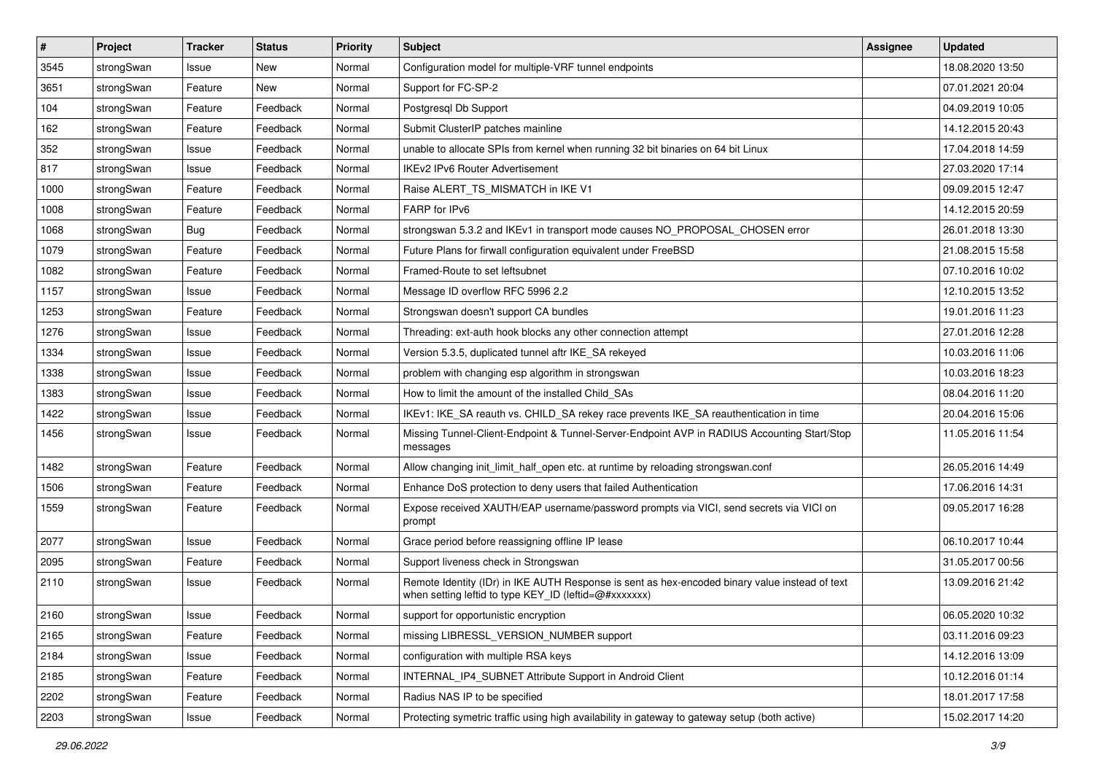| #    | Project    | <b>Tracker</b> | <b>Status</b> | <b>Priority</b> | <b>Subject</b>                                                                                                                                          | <b>Assignee</b> | <b>Updated</b>   |
|------|------------|----------------|---------------|-----------------|---------------------------------------------------------------------------------------------------------------------------------------------------------|-----------------|------------------|
| 3545 | strongSwan | Issue          | New           | Normal          | Configuration model for multiple-VRF tunnel endpoints                                                                                                   |                 | 18.08.2020 13:50 |
| 3651 | strongSwan | Feature        | New           | Normal          | Support for FC-SP-2                                                                                                                                     |                 | 07.01.2021 20:04 |
| 104  | strongSwan | Feature        | Feedback      | Normal          | Postgresql Db Support                                                                                                                                   |                 | 04.09.2019 10:05 |
| 162  | strongSwan | Feature        | Feedback      | Normal          | Submit ClusterIP patches mainline                                                                                                                       |                 | 14.12.2015 20:43 |
| 352  | strongSwan | Issue          | Feedback      | Normal          | unable to allocate SPIs from kernel when running 32 bit binaries on 64 bit Linux                                                                        |                 | 17.04.2018 14:59 |
| 817  | strongSwan | Issue          | Feedback      | Normal          | <b>IKEv2 IPv6 Router Advertisement</b>                                                                                                                  |                 | 27.03.2020 17:14 |
| 1000 | strongSwan | Feature        | Feedback      | Normal          | Raise ALERT_TS_MISMATCH in IKE V1                                                                                                                       |                 | 09.09.2015 12:47 |
| 1008 | strongSwan | Feature        | Feedback      | Normal          | FARP for IPv6                                                                                                                                           |                 | 14.12.2015 20:59 |
| 1068 | strongSwan | Bug            | Feedback      | Normal          | strongswan 5.3.2 and IKEv1 in transport mode causes NO_PROPOSAL_CHOSEN error                                                                            |                 | 26.01.2018 13:30 |
| 1079 | strongSwan | Feature        | Feedback      | Normal          | Future Plans for firwall configuration equivalent under FreeBSD                                                                                         |                 | 21.08.2015 15:58 |
| 1082 | strongSwan | Feature        | Feedback      | Normal          | Framed-Route to set leftsubnet                                                                                                                          |                 | 07.10.2016 10:02 |
| 1157 | strongSwan | Issue          | Feedback      | Normal          | Message ID overflow RFC 5996 2.2                                                                                                                        |                 | 12.10.2015 13:52 |
| 1253 | strongSwan | Feature        | Feedback      | Normal          | Strongswan doesn't support CA bundles                                                                                                                   |                 | 19.01.2016 11:23 |
| 1276 | strongSwan | Issue          | Feedback      | Normal          | Threading: ext-auth hook blocks any other connection attempt                                                                                            |                 | 27.01.2016 12:28 |
| 1334 | strongSwan | Issue          | Feedback      | Normal          | Version 5.3.5, duplicated tunnel aftr IKE_SA rekeyed                                                                                                    |                 | 10.03.2016 11:06 |
| 1338 | strongSwan | Issue          | Feedback      | Normal          | problem with changing esp algorithm in strongswan                                                                                                       |                 | 10.03.2016 18:23 |
| 1383 | strongSwan | Issue          | Feedback      | Normal          | How to limit the amount of the installed Child SAs                                                                                                      |                 | 08.04.2016 11:20 |
| 1422 | strongSwan | Issue          | Feedback      | Normal          | IKEv1: IKE_SA reauth vs. CHILD_SA rekey race prevents IKE_SA reauthentication in time                                                                   |                 | 20.04.2016 15:06 |
| 1456 | strongSwan | Issue          | Feedback      | Normal          | Missing Tunnel-Client-Endpoint & Tunnel-Server-Endpoint AVP in RADIUS Accounting Start/Stop<br>messages                                                 |                 | 11.05.2016 11:54 |
| 1482 | strongSwan | Feature        | Feedback      | Normal          | Allow changing init_limit_half_open etc. at runtime by reloading strongswan.conf                                                                        |                 | 26.05.2016 14:49 |
| 1506 | strongSwan | Feature        | Feedback      | Normal          | Enhance DoS protection to deny users that failed Authentication                                                                                         |                 | 17.06.2016 14:31 |
| 1559 | strongSwan | Feature        | Feedback      | Normal          | Expose received XAUTH/EAP username/password prompts via VICI, send secrets via VICI on<br>prompt                                                        |                 | 09.05.2017 16:28 |
| 2077 | strongSwan | Issue          | Feedback      | Normal          | Grace period before reassigning offline IP lease                                                                                                        |                 | 06.10.2017 10:44 |
| 2095 | strongSwan | Feature        | Feedback      | Normal          | Support liveness check in Strongswan                                                                                                                    |                 | 31.05.2017 00:56 |
| 2110 | strongSwan | Issue          | Feedback      | Normal          | Remote Identity (IDr) in IKE AUTH Response is sent as hex-encoded binary value instead of text<br>when setting leftid to type KEY_ID (leftid=@#xxxxxxx) |                 | 13.09.2016 21:42 |
| 2160 | strongSwan | Issue          | Feedback      | Normal          | support for opportunistic encryption                                                                                                                    |                 | 06.05.2020 10:32 |
| 2165 | strongSwan | Feature        | Feedback      | Normal          | missing LIBRESSL_VERSION_NUMBER support                                                                                                                 |                 | 03.11.2016 09:23 |
| 2184 | strongSwan | Issue          | Feedback      | Normal          | configuration with multiple RSA keys                                                                                                                    |                 | 14.12.2016 13:09 |
| 2185 | strongSwan | Feature        | Feedback      | Normal          | INTERNAL_IP4_SUBNET Attribute Support in Android Client                                                                                                 |                 | 10.12.2016 01:14 |
| 2202 | strongSwan | Feature        | Feedback      | Normal          | Radius NAS IP to be specified                                                                                                                           |                 | 18.01.2017 17:58 |
| 2203 | strongSwan | Issue          | Feedback      | Normal          | Protecting symetric traffic using high availability in gateway to gateway setup (both active)                                                           |                 | 15.02.2017 14:20 |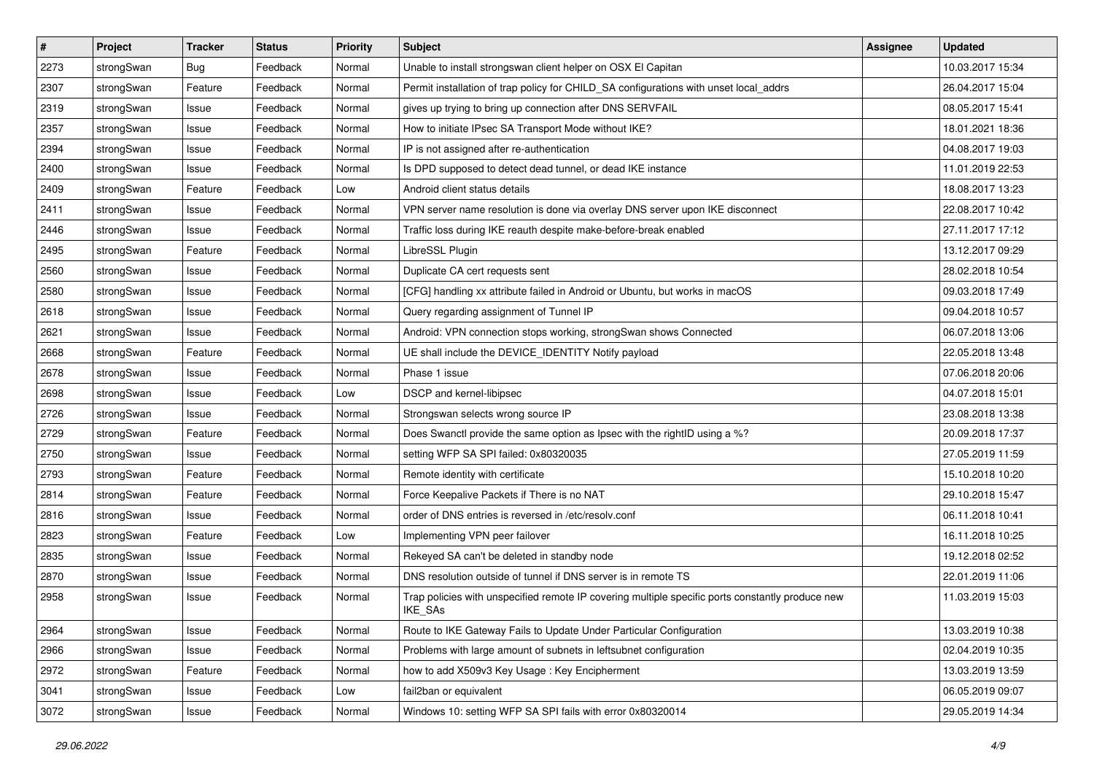| $\pmb{\#}$ | Project    | <b>Tracker</b> | <b>Status</b> | <b>Priority</b> | <b>Subject</b>                                                                                              | Assignee | <b>Updated</b>   |
|------------|------------|----------------|---------------|-----------------|-------------------------------------------------------------------------------------------------------------|----------|------------------|
| 2273       | strongSwan | Bug            | Feedback      | Normal          | Unable to install strongswan client helper on OSX El Capitan                                                |          | 10.03.2017 15:34 |
| 2307       | strongSwan | Feature        | Feedback      | Normal          | Permit installation of trap policy for CHILD_SA configurations with unset local_addrs                       |          | 26.04.2017 15:04 |
| 2319       | strongSwan | Issue          | Feedback      | Normal          | gives up trying to bring up connection after DNS SERVFAIL                                                   |          | 08.05.2017 15:41 |
| 2357       | strongSwan | Issue          | Feedback      | Normal          | How to initiate IPsec SA Transport Mode without IKE?                                                        |          | 18.01.2021 18:36 |
| 2394       | strongSwan | Issue          | Feedback      | Normal          | IP is not assigned after re-authentication                                                                  |          | 04.08.2017 19:03 |
| 2400       | strongSwan | Issue          | Feedback      | Normal          | Is DPD supposed to detect dead tunnel, or dead IKE instance                                                 |          | 11.01.2019 22:53 |
| 2409       | strongSwan | Feature        | Feedback      | Low             | Android client status details                                                                               |          | 18.08.2017 13:23 |
| 2411       | strongSwan | Issue          | Feedback      | Normal          | VPN server name resolution is done via overlay DNS server upon IKE disconnect                               |          | 22.08.2017 10:42 |
| 2446       | strongSwan | Issue          | Feedback      | Normal          | Traffic loss during IKE reauth despite make-before-break enabled                                            |          | 27.11.2017 17:12 |
| 2495       | strongSwan | Feature        | Feedback      | Normal          | LibreSSL Plugin                                                                                             |          | 13.12.2017 09:29 |
| 2560       | strongSwan | Issue          | Feedback      | Normal          | Duplicate CA cert requests sent                                                                             |          | 28.02.2018 10:54 |
| 2580       | strongSwan | Issue          | Feedback      | Normal          | [CFG] handling xx attribute failed in Android or Ubuntu, but works in macOS                                 |          | 09.03.2018 17:49 |
| 2618       | strongSwan | Issue          | Feedback      | Normal          | Query regarding assignment of Tunnel IP                                                                     |          | 09.04.2018 10:57 |
| 2621       | strongSwan | Issue          | Feedback      | Normal          | Android: VPN connection stops working, strongSwan shows Connected                                           |          | 06.07.2018 13:06 |
| 2668       | strongSwan | Feature        | Feedback      | Normal          | UE shall include the DEVICE_IDENTITY Notify payload                                                         |          | 22.05.2018 13:48 |
| 2678       | strongSwan | Issue          | Feedback      | Normal          | Phase 1 issue                                                                                               |          | 07.06.2018 20:06 |
| 2698       | strongSwan | Issue          | Feedback      | Low             | DSCP and kernel-libipsec                                                                                    |          | 04.07.2018 15:01 |
| 2726       | strongSwan | Issue          | Feedback      | Normal          | Strongswan selects wrong source IP                                                                          |          | 23.08.2018 13:38 |
| 2729       | strongSwan | Feature        | Feedback      | Normal          | Does Swanctl provide the same option as Ipsec with the rightID using a %?                                   |          | 20.09.2018 17:37 |
| 2750       | strongSwan | Issue          | Feedback      | Normal          | setting WFP SA SPI failed: 0x80320035                                                                       |          | 27.05.2019 11:59 |
| 2793       | strongSwan | Feature        | Feedback      | Normal          | Remote identity with certificate                                                                            |          | 15.10.2018 10:20 |
| 2814       | strongSwan | Feature        | Feedback      | Normal          | Force Keepalive Packets if There is no NAT                                                                  |          | 29.10.2018 15:47 |
| 2816       | strongSwan | Issue          | Feedback      | Normal          | order of DNS entries is reversed in /etc/resolv.conf                                                        |          | 06.11.2018 10:41 |
| 2823       | strongSwan | Feature        | Feedback      | Low             | Implementing VPN peer failover                                                                              |          | 16.11.2018 10:25 |
| 2835       | strongSwan | Issue          | Feedback      | Normal          | Rekeyed SA can't be deleted in standby node                                                                 |          | 19.12.2018 02:52 |
| 2870       | strongSwan | Issue          | Feedback      | Normal          | DNS resolution outside of tunnel if DNS server is in remote TS                                              |          | 22.01.2019 11:06 |
| 2958       | strongSwan | Issue          | Feedback      | Normal          | Trap policies with unspecified remote IP covering multiple specific ports constantly produce new<br>IKE_SAs |          | 11.03.2019 15:03 |
| 2964       | strongSwan | Issue          | Feedback      | Normal          | Route to IKE Gateway Fails to Update Under Particular Configuration                                         |          | 13.03.2019 10:38 |
| 2966       | strongSwan | Issue          | Feedback      | Normal          | Problems with large amount of subnets in leftsubnet configuration                                           |          | 02.04.2019 10:35 |
| 2972       | strongSwan | Feature        | Feedback      | Normal          | how to add X509v3 Key Usage: Key Encipherment                                                               |          | 13.03.2019 13:59 |
| 3041       | strongSwan | Issue          | Feedback      | Low             | fail2ban or equivalent                                                                                      |          | 06.05.2019 09:07 |
| 3072       | strongSwan | Issue          | Feedback      | Normal          | Windows 10: setting WFP SA SPI fails with error 0x80320014                                                  |          | 29.05.2019 14:34 |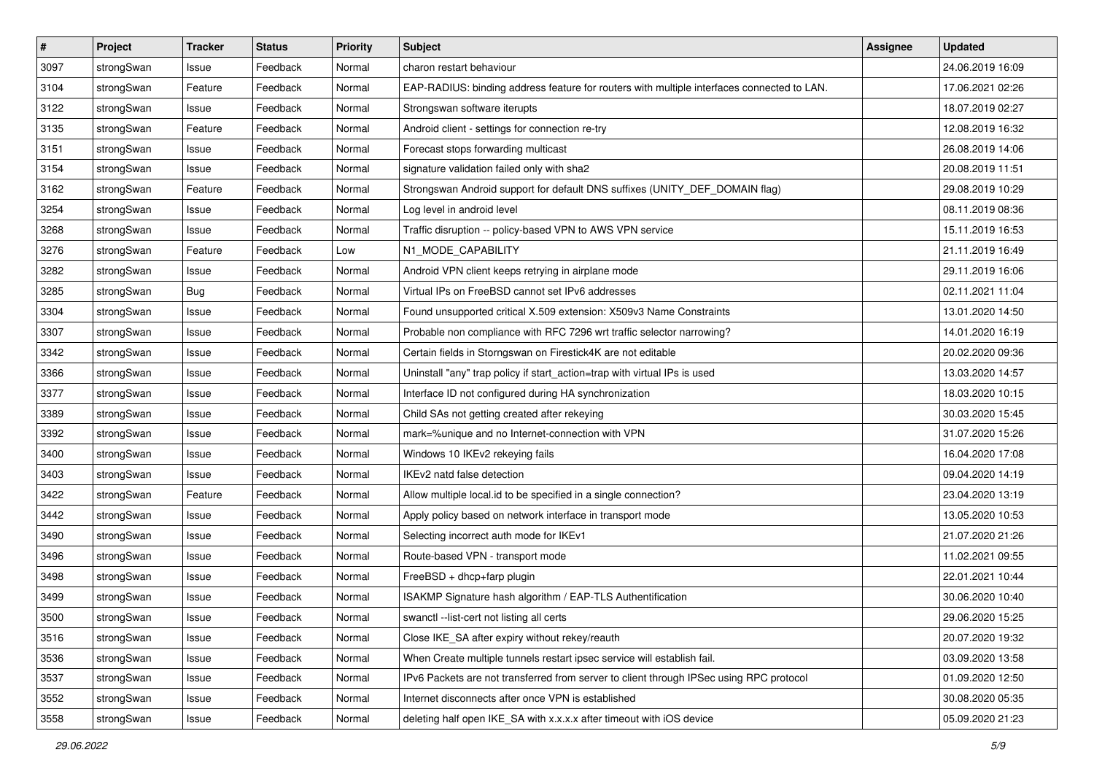| $\pmb{\#}$ | Project    | <b>Tracker</b> | <b>Status</b> | <b>Priority</b> | <b>Subject</b>                                                                             | <b>Assignee</b> | <b>Updated</b>   |
|------------|------------|----------------|---------------|-----------------|--------------------------------------------------------------------------------------------|-----------------|------------------|
| 3097       | strongSwan | Issue          | Feedback      | Normal          | charon restart behaviour                                                                   |                 | 24.06.2019 16:09 |
| 3104       | strongSwan | Feature        | Feedback      | Normal          | EAP-RADIUS: binding address feature for routers with multiple interfaces connected to LAN. |                 | 17.06.2021 02:26 |
| 3122       | strongSwan | Issue          | Feedback      | Normal          | Strongswan software iterupts                                                               |                 | 18.07.2019 02:27 |
| 3135       | strongSwan | Feature        | Feedback      | Normal          | Android client - settings for connection re-try                                            |                 | 12.08.2019 16:32 |
| 3151       | strongSwan | Issue          | Feedback      | Normal          | Forecast stops forwarding multicast                                                        |                 | 26.08.2019 14:06 |
| 3154       | strongSwan | Issue          | Feedback      | Normal          | signature validation failed only with sha2                                                 |                 | 20.08.2019 11:51 |
| 3162       | strongSwan | Feature        | Feedback      | Normal          | Strongswan Android support for default DNS suffixes (UNITY_DEF_DOMAIN flag)                |                 | 29.08.2019 10:29 |
| 3254       | strongSwan | Issue          | Feedback      | Normal          | Log level in android level                                                                 |                 | 08.11.2019 08:36 |
| 3268       | strongSwan | Issue          | Feedback      | Normal          | Traffic disruption -- policy-based VPN to AWS VPN service                                  |                 | 15.11.2019 16:53 |
| 3276       | strongSwan | Feature        | Feedback      | Low             | N1_MODE_CAPABILITY                                                                         |                 | 21.11.2019 16:49 |
| 3282       | strongSwan | Issue          | Feedback      | Normal          | Android VPN client keeps retrying in airplane mode                                         |                 | 29.11.2019 16:06 |
| 3285       | strongSwan | Bug            | Feedback      | Normal          | Virtual IPs on FreeBSD cannot set IPv6 addresses                                           |                 | 02.11.2021 11:04 |
| 3304       | strongSwan | Issue          | Feedback      | Normal          | Found unsupported critical X.509 extension: X509v3 Name Constraints                        |                 | 13.01.2020 14:50 |
| 3307       | strongSwan | Issue          | Feedback      | Normal          | Probable non compliance with RFC 7296 wrt traffic selector narrowing?                      |                 | 14.01.2020 16:19 |
| 3342       | strongSwan | Issue          | Feedback      | Normal          | Certain fields in Storngswan on Firestick4K are not editable                               |                 | 20.02.2020 09:36 |
| 3366       | strongSwan | Issue          | Feedback      | Normal          | Uninstall "any" trap policy if start_action=trap with virtual IPs is used                  |                 | 13.03.2020 14:57 |
| 3377       | strongSwan | Issue          | Feedback      | Normal          | Interface ID not configured during HA synchronization                                      |                 | 18.03.2020 10:15 |
| 3389       | strongSwan | Issue          | Feedback      | Normal          | Child SAs not getting created after rekeying                                               |                 | 30.03.2020 15:45 |
| 3392       | strongSwan | Issue          | Feedback      | Normal          | mark=%unique and no Internet-connection with VPN                                           |                 | 31.07.2020 15:26 |
| 3400       | strongSwan | Issue          | Feedback      | Normal          | Windows 10 IKEv2 rekeying fails                                                            |                 | 16.04.2020 17:08 |
| 3403       | strongSwan | Issue          | Feedback      | Normal          | IKEv2 natd false detection                                                                 |                 | 09.04.2020 14:19 |
| 3422       | strongSwan | Feature        | Feedback      | Normal          | Allow multiple local.id to be specified in a single connection?                            |                 | 23.04.2020 13:19 |
| 3442       | strongSwan | Issue          | Feedback      | Normal          | Apply policy based on network interface in transport mode                                  |                 | 13.05.2020 10:53 |
| 3490       | strongSwan | Issue          | Feedback      | Normal          | Selecting incorrect auth mode for IKEv1                                                    |                 | 21.07.2020 21:26 |
| 3496       | strongSwan | Issue          | Feedback      | Normal          | Route-based VPN - transport mode                                                           |                 | 11.02.2021 09:55 |
| 3498       | strongSwan | Issue          | Feedback      | Normal          | FreeBSD + dhcp+farp plugin                                                                 |                 | 22.01.2021 10:44 |
| 3499       | strongSwan | Issue          | Feedback      | Normal          | ISAKMP Signature hash algorithm / EAP-TLS Authentification                                 |                 | 30.06.2020 10:40 |
| 3500       | strongSwan | Issue          | Feedback      | Normal          | swanctl --list-cert not listing all certs                                                  |                 | 29.06.2020 15:25 |
| 3516       | strongSwan | Issue          | Feedback      | Normal          | Close IKE_SA after expiry without rekey/reauth                                             |                 | 20.07.2020 19:32 |
| 3536       | strongSwan | Issue          | Feedback      | Normal          | When Create multiple tunnels restart ipsec service will establish fail.                    |                 | 03.09.2020 13:58 |
| 3537       | strongSwan | Issue          | Feedback      | Normal          | IPv6 Packets are not transferred from server to client through IPSec using RPC protocol    |                 | 01.09.2020 12:50 |
| 3552       | strongSwan | Issue          | Feedback      | Normal          | Internet disconnects after once VPN is established                                         |                 | 30.08.2020 05:35 |
| 3558       | strongSwan | Issue          | Feedback      | Normal          | deleting half open IKE_SA with x.x.x.x after timeout with iOS device                       |                 | 05.09.2020 21:23 |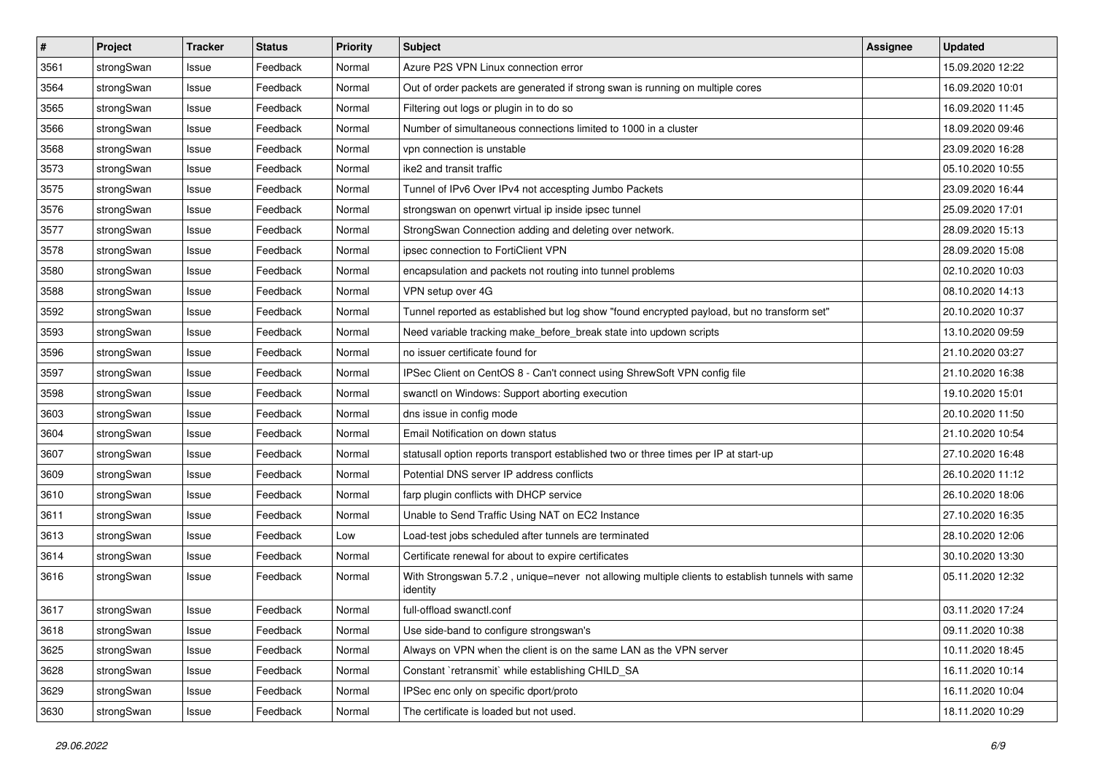| $\pmb{\#}$ | Project    | <b>Tracker</b> | <b>Status</b> | <b>Priority</b> | <b>Subject</b>                                                                                               | <b>Assignee</b> | <b>Updated</b>   |
|------------|------------|----------------|---------------|-----------------|--------------------------------------------------------------------------------------------------------------|-----------------|------------------|
| 3561       | strongSwan | Issue          | Feedback      | Normal          | Azure P2S VPN Linux connection error                                                                         |                 | 15.09.2020 12:22 |
| 3564       | strongSwan | Issue          | Feedback      | Normal          | Out of order packets are generated if strong swan is running on multiple cores                               |                 | 16.09.2020 10:01 |
| 3565       | strongSwan | Issue          | Feedback      | Normal          | Filtering out logs or plugin in to do so                                                                     |                 | 16.09.2020 11:45 |
| 3566       | strongSwan | Issue          | Feedback      | Normal          | Number of simultaneous connections limited to 1000 in a cluster                                              |                 | 18.09.2020 09:46 |
| 3568       | strongSwan | Issue          | Feedback      | Normal          | vpn connection is unstable                                                                                   |                 | 23.09.2020 16:28 |
| 3573       | strongSwan | Issue          | Feedback      | Normal          | ike2 and transit traffic                                                                                     |                 | 05.10.2020 10:55 |
| 3575       | strongSwan | Issue          | Feedback      | Normal          | Tunnel of IPv6 Over IPv4 not accespting Jumbo Packets                                                        |                 | 23.09.2020 16:44 |
| 3576       | strongSwan | Issue          | Feedback      | Normal          | strongswan on openwrt virtual ip inside ipsec tunnel                                                         |                 | 25.09.2020 17:01 |
| 3577       | strongSwan | Issue          | Feedback      | Normal          | StrongSwan Connection adding and deleting over network.                                                      |                 | 28.09.2020 15:13 |
| 3578       | strongSwan | Issue          | Feedback      | Normal          | ipsec connection to FortiClient VPN                                                                          |                 | 28.09.2020 15:08 |
| 3580       | strongSwan | Issue          | Feedback      | Normal          | encapsulation and packets not routing into tunnel problems                                                   |                 | 02.10.2020 10:03 |
| 3588       | strongSwan | Issue          | Feedback      | Normal          | VPN setup over 4G                                                                                            |                 | 08.10.2020 14:13 |
| 3592       | strongSwan | Issue          | Feedback      | Normal          | Tunnel reported as established but log show "found encrypted payload, but no transform set"                  |                 | 20.10.2020 10:37 |
| 3593       | strongSwan | Issue          | Feedback      | Normal          | Need variable tracking make_before_break state into updown scripts                                           |                 | 13.10.2020 09:59 |
| 3596       | strongSwan | Issue          | Feedback      | Normal          | no issuer certificate found for                                                                              |                 | 21.10.2020 03:27 |
| 3597       | strongSwan | Issue          | Feedback      | Normal          | IPSec Client on CentOS 8 - Can't connect using ShrewSoft VPN config file                                     |                 | 21.10.2020 16:38 |
| 3598       | strongSwan | Issue          | Feedback      | Normal          | swanctl on Windows: Support aborting execution                                                               |                 | 19.10.2020 15:01 |
| 3603       | strongSwan | Issue          | Feedback      | Normal          | dns issue in config mode                                                                                     |                 | 20.10.2020 11:50 |
| 3604       | strongSwan | Issue          | Feedback      | Normal          | Email Notification on down status                                                                            |                 | 21.10.2020 10:54 |
| 3607       | strongSwan | Issue          | Feedback      | Normal          | statusall option reports transport established two or three times per IP at start-up                         |                 | 27.10.2020 16:48 |
| 3609       | strongSwan | Issue          | Feedback      | Normal          | Potential DNS server IP address conflicts                                                                    |                 | 26.10.2020 11:12 |
| 3610       | strongSwan | Issue          | Feedback      | Normal          | farp plugin conflicts with DHCP service                                                                      |                 | 26.10.2020 18:06 |
| 3611       | strongSwan | Issue          | Feedback      | Normal          | Unable to Send Traffic Using NAT on EC2 Instance                                                             |                 | 27.10.2020 16:35 |
| 3613       | strongSwan | Issue          | Feedback      | Low             | Load-test jobs scheduled after tunnels are terminated                                                        |                 | 28.10.2020 12:06 |
| 3614       | strongSwan | Issue          | Feedback      | Normal          | Certificate renewal for about to expire certificates                                                         |                 | 30.10.2020 13:30 |
| 3616       | strongSwan | Issue          | Feedback      | Normal          | With Strongswan 5.7.2, unique=never not allowing multiple clients to establish tunnels with same<br>identity |                 | 05.11.2020 12:32 |
| 3617       | strongSwan | Issue          | Feedback      | Normal          | full-offload swanctl.conf                                                                                    |                 | 03.11.2020 17:24 |
| 3618       | strongSwan | Issue          | Feedback      | Normal          | Use side-band to configure strongswan's                                                                      |                 | 09.11.2020 10:38 |
| 3625       | strongSwan | Issue          | Feedback      | Normal          | Always on VPN when the client is on the same LAN as the VPN server                                           |                 | 10.11.2020 18:45 |
| 3628       | strongSwan | Issue          | Feedback      | Normal          | Constant `retransmit` while establishing CHILD SA                                                            |                 | 16.11.2020 10:14 |
| 3629       | strongSwan | Issue          | Feedback      | Normal          | IPSec enc only on specific dport/proto                                                                       |                 | 16.11.2020 10:04 |
| 3630       | strongSwan | Issue          | Feedback      | Normal          | The certificate is loaded but not used.                                                                      |                 | 18.11.2020 10:29 |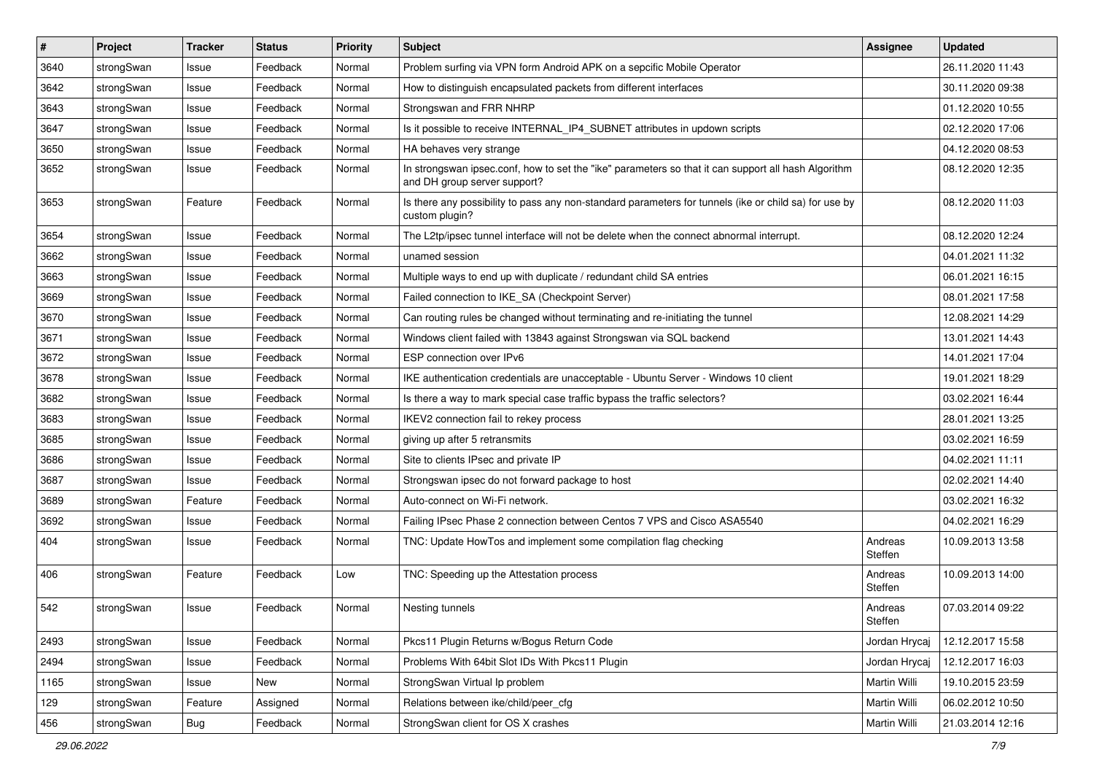| $\vert$ # | Project    | <b>Tracker</b> | <b>Status</b> | <b>Priority</b> | <b>Subject</b>                                                                                                                      | Assignee           | <b>Updated</b>   |
|-----------|------------|----------------|---------------|-----------------|-------------------------------------------------------------------------------------------------------------------------------------|--------------------|------------------|
| 3640      | strongSwan | Issue          | Feedback      | Normal          | Problem surfing via VPN form Android APK on a sepcific Mobile Operator                                                              |                    | 26.11.2020 11:43 |
| 3642      | strongSwan | Issue          | Feedback      | Normal          | How to distinguish encapsulated packets from different interfaces                                                                   |                    | 30.11.2020 09:38 |
| 3643      | strongSwan | Issue          | Feedback      | Normal          | Strongswan and FRR NHRP                                                                                                             |                    | 01.12.2020 10:55 |
| 3647      | strongSwan | Issue          | Feedback      | Normal          | Is it possible to receive INTERNAL_IP4_SUBNET attributes in updown scripts                                                          |                    | 02.12.2020 17:06 |
| 3650      | strongSwan | Issue          | Feedback      | Normal          | HA behaves very strange                                                                                                             |                    | 04.12.2020 08:53 |
| 3652      | strongSwan | Issue          | Feedback      | Normal          | In strongswan ipsec.conf, how to set the "ike" parameters so that it can support all hash Algorithm<br>and DH group server support? |                    | 08.12.2020 12:35 |
| 3653      | strongSwan | Feature        | Feedback      | Normal          | Is there any possibility to pass any non-standard parameters for tunnels (ike or child sa) for use by<br>custom plugin?             |                    | 08.12.2020 11:03 |
| 3654      | strongSwan | Issue          | Feedback      | Normal          | The L2tp/ipsec tunnel interface will not be delete when the connect abnormal interrupt.                                             |                    | 08.12.2020 12:24 |
| 3662      | strongSwan | Issue          | Feedback      | Normal          | unamed session                                                                                                                      |                    | 04.01.2021 11:32 |
| 3663      | strongSwan | Issue          | Feedback      | Normal          | Multiple ways to end up with duplicate / redundant child SA entries                                                                 |                    | 06.01.2021 16:15 |
| 3669      | strongSwan | Issue          | Feedback      | Normal          | Failed connection to IKE_SA (Checkpoint Server)                                                                                     |                    | 08.01.2021 17:58 |
| 3670      | strongSwan | Issue          | Feedback      | Normal          | Can routing rules be changed without terminating and re-initiating the tunnel                                                       |                    | 12.08.2021 14:29 |
| 3671      | strongSwan | Issue          | Feedback      | Normal          | Windows client failed with 13843 against Strongswan via SQL backend                                                                 |                    | 13.01.2021 14:43 |
| 3672      | strongSwan | Issue          | Feedback      | Normal          | ESP connection over IPv6                                                                                                            |                    | 14.01.2021 17:04 |
| 3678      | strongSwan | Issue          | Feedback      | Normal          | IKE authentication credentials are unacceptable - Ubuntu Server - Windows 10 client                                                 |                    | 19.01.2021 18:29 |
| 3682      | strongSwan | Issue          | Feedback      | Normal          | Is there a way to mark special case traffic bypass the traffic selectors?                                                           |                    | 03.02.2021 16:44 |
| 3683      | strongSwan | Issue          | Feedback      | Normal          | IKEV2 connection fail to rekey process                                                                                              |                    | 28.01.2021 13:25 |
| 3685      | strongSwan | Issue          | Feedback      | Normal          | giving up after 5 retransmits                                                                                                       |                    | 03.02.2021 16:59 |
| 3686      | strongSwan | Issue          | Feedback      | Normal          | Site to clients IPsec and private IP                                                                                                |                    | 04.02.2021 11:11 |
| 3687      | strongSwan | Issue          | Feedback      | Normal          | Strongswan ipsec do not forward package to host                                                                                     |                    | 02.02.2021 14:40 |
| 3689      | strongSwan | Feature        | Feedback      | Normal          | Auto-connect on Wi-Fi network.                                                                                                      |                    | 03.02.2021 16:32 |
| 3692      | strongSwan | Issue          | Feedback      | Normal          | Failing IPsec Phase 2 connection between Centos 7 VPS and Cisco ASA5540                                                             |                    | 04.02.2021 16:29 |
| 404       | strongSwan | Issue          | Feedback      | Normal          | TNC: Update HowTos and implement some compilation flag checking                                                                     | Andreas<br>Steffen | 10.09.2013 13:58 |
| 406       | strongSwan | Feature        | Feedback      | Low             | TNC: Speeding up the Attestation process                                                                                            | Andreas<br>Steffen | 10.09.2013 14:00 |
| 542       | strongSwan | Issue          | Feedback      | Normal          | Nesting tunnels                                                                                                                     | Andreas<br>Steffen | 07.03.2014 09:22 |
| 2493      | strongSwan | Issue          | Feedback      | Normal          | Pkcs11 Plugin Returns w/Bogus Return Code                                                                                           | Jordan Hrycaj      | 12.12.2017 15:58 |
| 2494      | strongSwan | Issue          | Feedback      | Normal          | Problems With 64bit Slot IDs With Pkcs11 Plugin                                                                                     | Jordan Hrycaj      | 12.12.2017 16:03 |
| 1165      | strongSwan | Issue          | New           | Normal          | StrongSwan Virtual Ip problem                                                                                                       | Martin Willi       | 19.10.2015 23:59 |
| 129       | strongSwan | Feature        | Assigned      | Normal          | Relations between ike/child/peer_cfg                                                                                                | Martin Willi       | 06.02.2012 10:50 |
| 456       | strongSwan | <b>Bug</b>     | Feedback      | Normal          | StrongSwan client for OS X crashes                                                                                                  | Martin Willi       | 21.03.2014 12:16 |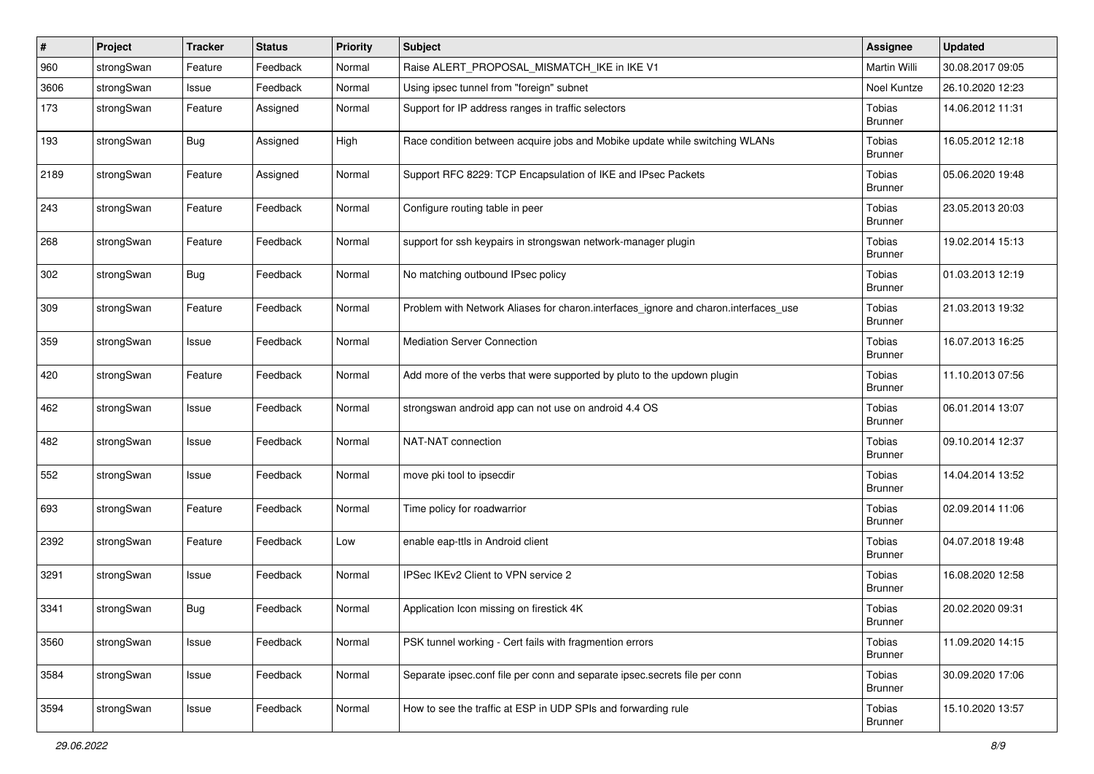| $\#$ | Project    | <b>Tracker</b> | <b>Status</b> | <b>Priority</b> | <b>Subject</b>                                                                      | <b>Assignee</b>          | <b>Updated</b>   |
|------|------------|----------------|---------------|-----------------|-------------------------------------------------------------------------------------|--------------------------|------------------|
| 960  | strongSwan | Feature        | Feedback      | Normal          | Raise ALERT_PROPOSAL_MISMATCH_IKE in IKE V1                                         | Martin Willi             | 30.08.2017 09:05 |
| 3606 | strongSwan | Issue          | Feedback      | Normal          | Using ipsec tunnel from "foreign" subnet                                            | Noel Kuntze              | 26.10.2020 12:23 |
| 173  | strongSwan | Feature        | Assigned      | Normal          | Support for IP address ranges in traffic selectors                                  | Tobias<br><b>Brunner</b> | 14.06.2012 11:31 |
| 193  | strongSwan | <b>Bug</b>     | Assigned      | High            | Race condition between acquire jobs and Mobike update while switching WLANs         | Tobias<br><b>Brunner</b> | 16.05.2012 12:18 |
| 2189 | strongSwan | Feature        | Assigned      | Normal          | Support RFC 8229: TCP Encapsulation of IKE and IPsec Packets                        | Tobias<br><b>Brunner</b> | 05.06.2020 19:48 |
| 243  | strongSwan | Feature        | Feedback      | Normal          | Configure routing table in peer                                                     | Tobias<br><b>Brunner</b> | 23.05.2013 20:03 |
| 268  | strongSwan | Feature        | Feedback      | Normal          | support for ssh keypairs in strongswan network-manager plugin                       | Tobias<br><b>Brunner</b> | 19.02.2014 15:13 |
| 302  | strongSwan | <b>Bug</b>     | Feedback      | Normal          | No matching outbound IPsec policy                                                   | Tobias<br><b>Brunner</b> | 01.03.2013 12:19 |
| 309  | strongSwan | Feature        | Feedback      | Normal          | Problem with Network Aliases for charon.interfaces_ignore and charon.interfaces_use | Tobias<br><b>Brunner</b> | 21.03.2013 19:32 |
| 359  | strongSwan | Issue          | Feedback      | Normal          | <b>Mediation Server Connection</b>                                                  | Tobias<br><b>Brunner</b> | 16.07.2013 16:25 |
| 420  | strongSwan | Feature        | Feedback      | Normal          | Add more of the verbs that were supported by pluto to the updown plugin             | Tobias<br><b>Brunner</b> | 11.10.2013 07:56 |
| 462  | strongSwan | Issue          | Feedback      | Normal          | strongswan android app can not use on android 4.4 OS                                | Tobias<br><b>Brunner</b> | 06.01.2014 13:07 |
| 482  | strongSwan | Issue          | Feedback      | Normal          | NAT-NAT connection                                                                  | Tobias<br><b>Brunner</b> | 09.10.2014 12:37 |
| 552  | strongSwan | Issue          | Feedback      | Normal          | move pki tool to ipsecdir                                                           | Tobias<br><b>Brunner</b> | 14.04.2014 13:52 |
| 693  | strongSwan | Feature        | Feedback      | Normal          | Time policy for roadwarrior                                                         | Tobias<br><b>Brunner</b> | 02.09.2014 11:06 |
| 2392 | strongSwan | Feature        | Feedback      | Low             | enable eap-ttls in Android client                                                   | Tobias<br><b>Brunner</b> | 04.07.2018 19:48 |
| 3291 | strongSwan | Issue          | Feedback      | Normal          | IPSec IKEv2 Client to VPN service 2                                                 | Tobias<br><b>Brunner</b> | 16.08.2020 12:58 |
| 3341 | strongSwan | <b>Bug</b>     | Feedback      | Normal          | Application Icon missing on firestick 4K                                            | Tobias<br><b>Brunner</b> | 20.02.2020 09:31 |
| 3560 | strongSwan | Issue          | Feedback      | Normal          | PSK tunnel working - Cert fails with fragmention errors                             | Tobias<br><b>Brunner</b> | 11.09.2020 14:15 |
| 3584 | strongSwan | Issue          | Feedback      | Normal          | Separate ipsec.conf file per conn and separate ipsec.secrets file per conn          | Tobias<br><b>Brunner</b> | 30.09.2020 17:06 |
| 3594 | strongSwan | Issue          | Feedback      | Normal          | How to see the traffic at ESP in UDP SPIs and forwarding rule                       | Tobias<br><b>Brunner</b> | 15.10.2020 13:57 |